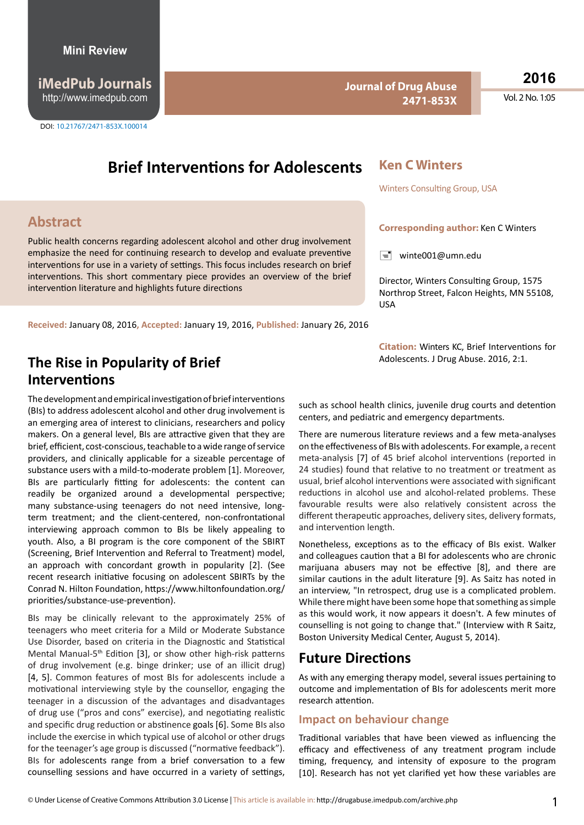**iMedPub Journals** http://www.imedpub.com

DOI: 10.21767/2471-853X.100014

#### **Journal of Drug Abuse 2471-853X**

**Ken C Winters**

Winters Consulting Group, USA

 $\equiv$  winte001@umn.edu

USA

**Corresponding author:** Ken C Winters

Director, Winters Consulting Group, 1575 Northrop Street, Falcon Heights, MN 55108,

**2016**

Vol. 2 No. 1:05

# **Brief Interventions for Adolescents**

### **Abstract**

Public health concerns regarding adolescent alcohol and other drug involvement emphasize the need for continuing research to develop and evaluate preventive interventions for use in a variety of settings. This focus includes research on brief interventions. This short commentary piece provides an overview of the brief intervention literature and highlights future directions

**Received:** January 08, 2016**, Accepted:** January 19, 2016, **Published:** January 26, 2016

# Adolescents. J Drug Abuse. 2016, 2:1. **The Rise in Popularity of Brief Interventions**

The development and empirical investigation of brief interventions (BIs) to address adolescent alcohol and other drug involvement is an emerging area of interest to clinicians, researchers and policy makers. On a general level, BIs are attractive given that they are brief, efficient, cost-conscious, teachable to a wide range of service providers, and clinically applicable for a sizeable percentage of substance users with a mild-to-moderate problem [1]. Moreover, BIs are particularly fitting for adolescents: the content can readily be organized around a developmental perspective; many substance-using teenagers do not need intensive, longterm treatment; and the client-centered, non-confrontational interviewing approach common to BIs be likely appealing to youth. Also, a BI program is the core component of the SBIRT (Screening, Brief Intervention and Referral to Treatment) model, an approach with concordant growth in popularity [2]. (See recent research initiative focusing on adolescent SBIRTs by the Conrad N. Hilton Foundation, https://www.hiltonfoundation.org/ priorities/substance-use-prevention).

BIs may be clinically relevant to the approximately 25% of teenagers who meet criteria for a Mild or Moderate Substance Use Disorder, based on criteria in the Diagnostic and Statistical Mental Manual-5<sup>th</sup> Edition [3], or show other high-risk patterns of drug involvement (e.g. binge drinker; use of an illicit drug) [4, 5]. Common features of most BIs for adolescents include a motivational interviewing style by the counsellor, engaging the teenager in a discussion of the advantages and disadvantages of drug use ("pros and cons" exercise), and negotiating realistic and specific drug reduction or abstinence goals [6]. Some BIs also include the exercise in which typical use of alcohol or other drugs for the teenager's age group is discussed ("normative feedback"). BIs for adolescents range from a brief conversation to a few counselling sessions and have occurred in a variety of settings,

**Citation:** Winters KC, Brief Interventions for

such as school health clinics, juvenile drug courts and detention centers, and pediatric and emergency departments.

There are numerous literature reviews and a few meta-analyses on the effectiveness of BIs with adolescents. For example, a recent meta-analysis [7] of 45 brief alcohol interventions (reported in 24 studies) found that relative to no treatment or treatment as usual, brief alcohol interventions were associated with significant reductions in alcohol use and alcohol-related problems. These favourable results were also relatively consistent across the different therapeutic approaches, delivery sites, delivery formats, and intervention length.

Nonetheless, exceptions as to the efficacy of BIs exist. Walker and colleagues caution that a BI for adolescents who are chronic marijuana abusers may not be effective [8], and there are similar cautions in the adult literature [9]. As Saitz has noted in an interview, "In retrospect, drug use is a complicated problem. While there might have been some hope that something as simple as this would work, it now appears it doesn't. A few minutes of counselling is not going to change that." (Interview with R Saitz, [Boston University Medical Center,](http://www.bmc.org/) August 5, 2014).

# **Future Directions**

As with any emerging therapy model, several issues pertaining to outcome and implementation of BIs for adolescents merit more research attention.

#### **Impact on behaviour change**

Traditional variables that have been viewed as influencing the efficacy and effectiveness of any treatment program include timing, frequency, and intensity of exposure to the program [10]. Research has not yet clarified yet how these variables are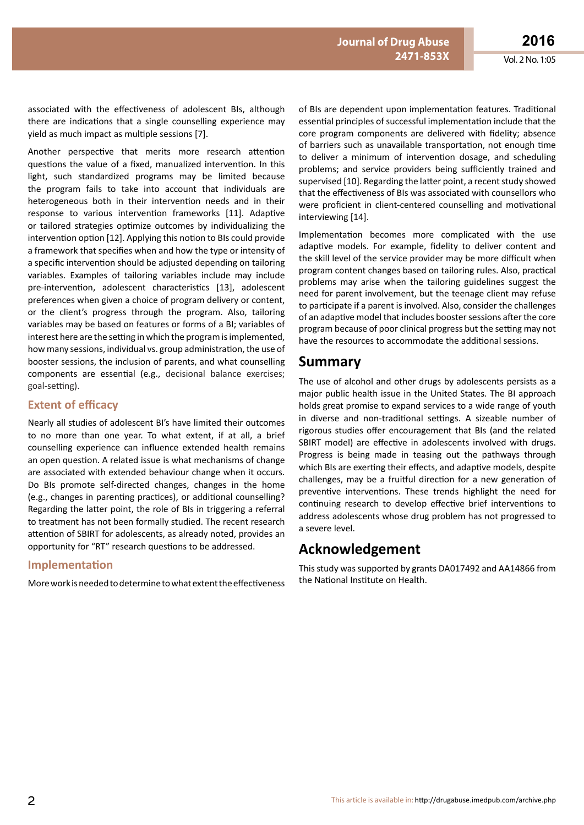associated with the effectiveness of adolescent BIs, although there are indications that a single counselling experience may

Another perspective that merits more research attention questions the value of a fixed, manualized intervention. In this light, such standardized programs may be limited because the program fails to take into account that individuals are heterogeneous both in their intervention needs and in their response to various intervention frameworks [11]. Adaptive or tailored strategies optimize outcomes by individualizing the intervention option [12]. Applying this notion to BIs could provide a framework that specifies when and how the type or intensity of a specific intervention should be adjusted depending on tailoring variables. Examples of tailoring variables include may include pre-intervention, adolescent characteristics [13], adolescent preferences when given a choice of program delivery or content, or the client's progress through the program. Also, tailoring variables may be based on features or forms of a BI; variables of interest here are the setting in which the program is implemented, how many sessions, individual vs. group administration, the use of booster sessions, the inclusion of parents, and what counselling components are essential (e.g., decisional balance exercises; goal-setting).

yield as much impact as multiple sessions [7].

#### **Extent of efficacy**

Nearly all studies of adolescent BI's have limited their outcomes to no more than one year. To what extent, if at all, a brief counselling experience can influence extended health remains an open question. A related issue is what mechanisms of change are associated with extended behaviour change when it occurs. Do BIs promote self-directed changes, changes in the home (e.g., changes in parenting practices), or additional counselling? Regarding the latter point, the role of BIs in triggering a referral to treatment has not been formally studied. The recent research attention of SBIRT for adolescents, as already noted, provides an opportunity for "RT" research questions to be addressed.

#### **Implementation**

More work is needed to determine to what extent the effectiveness

of BIs are dependent upon implementation features. Traditional essential principles of successful implementation include that the core program components are delivered with fidelity; absence of barriers such as unavailable transportation, not enough time to deliver a minimum of intervention dosage, and scheduling problems; and service providers being sufficiently trained and supervised [10]. Regarding the latter point, a recent study showed that the effectiveness of BIs was associated with counsellors who were proficient in client-centered counselling and motivational interviewing [14].

Implementation becomes more complicated with the use adaptive models. For example, fidelity to deliver content and the skill level of the service provider may be more difficult when program content changes based on tailoring rules. Also, practical problems may arise when the tailoring guidelines suggest the need for parent involvement, but the teenage client may refuse to participate if a parent is involved. Also, consider the challenges of an adaptive model that includes booster sessions after the core program because of poor clinical progress but the setting may not have the resources to accommodate the additional sessions.

### **Summary**

The use of alcohol and other drugs by adolescents persists as a major public health issue in the United States. The BI approach holds great promise to expand services to a wide range of youth in diverse and non-traditional settings. A sizeable number of rigorous studies offer encouragement that BIs (and the related SBIRT model) are effective in adolescents involved with drugs. Progress is being made in teasing out the pathways through which BIs are exerting their effects, and adaptive models, despite challenges, may be a fruitful direction for a new generation of preventive interventions. These trends highlight the need for continuing research to develop effective brief interventions to address adolescents whose drug problem has not progressed to a severe level.

### **Acknowledgement**

This study was supported by grants DA017492 and AA14866 from the National Institute on Health.